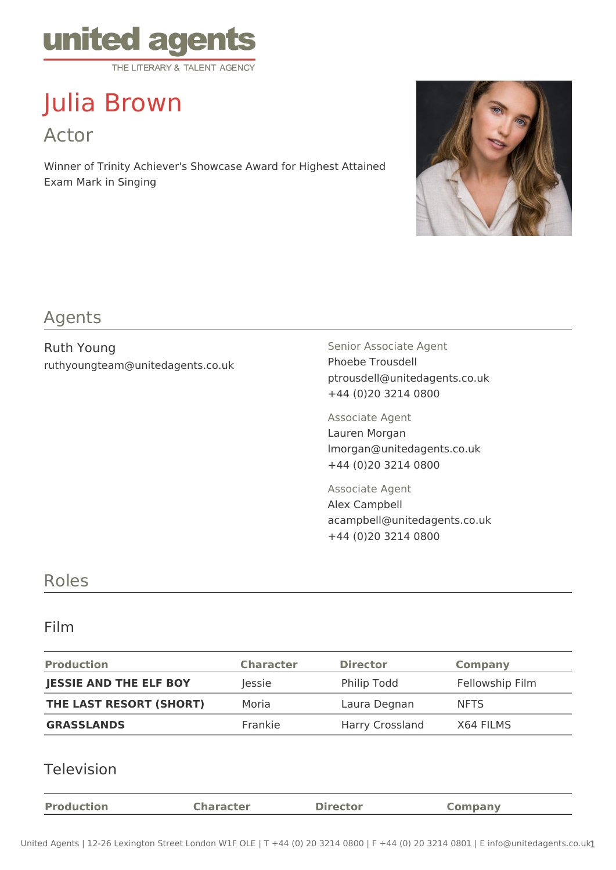

# Julia Brown Actor

Winner of Trinity Achiever's Showcase Award for Highest Attained Exam Mark in Singing



## Agents

Ruth Young ruthyoungteam@unitedagents.co.uk Senior Associate Agent Phoebe Trousdell ptrousdell@unitedagents.co.uk +44 (0)20 3214 0800

Associate Agent Lauren Morgan lmorgan@unitedagents.co.uk +44 (0)20 3214 0800

Associate Agent Alex Campbell acampbell@unitedagents.co.uk +44 (0)20 3214 0800

### Roles

#### Film

| <b>Production</b>             | <b>Character</b> | <b>Director</b>        | <b>Company</b>  |
|-------------------------------|------------------|------------------------|-----------------|
| <b>JESSIE AND THE ELF BOY</b> | Jessie           | <b>Philip Todd</b>     | Fellowship Film |
| THE LAST RESORT (SHORT)       | Moria            | Laura Degnan           | <b>NFTS</b>     |
| <b>GRASSLANDS</b>             | Frankie          | <b>Harry Crossland</b> | X64 FILMS       |

#### Television

| <b>Production</b> | <b>Character</b> | <b>Director</b> | Company |
|-------------------|------------------|-----------------|---------|
|                   |                  |                 |         |